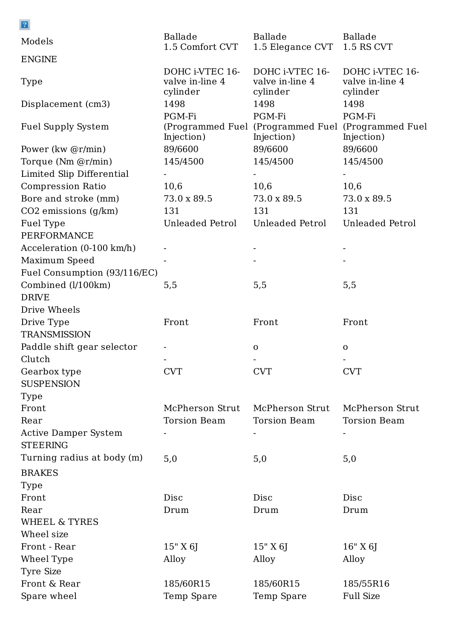| $\boxed{2}$                         |                                                |                                                            |                                                |
|-------------------------------------|------------------------------------------------|------------------------------------------------------------|------------------------------------------------|
| Models                              | Ballade<br>1.5 Comfort CVT                     | Ballade<br>1.5 Elegance CVT                                | Ballade<br>1.5 RS CVT                          |
| <b>ENGINE</b>                       |                                                |                                                            |                                                |
| Type                                | DOHC i-VTEC 16-<br>valve in-line 4<br>cylinder | DOHC i-VTEC 16-<br>valve in-line 4<br>cylinder             | DOHC i-VTEC 16-<br>valve in-line 4<br>cylinder |
| Displacement (cm3)                  | 1498                                           | 1498                                                       | 1498                                           |
| <b>Fuel Supply System</b>           | PGM-Fi<br>Injection)                           | PGM-Fi<br>(Programmed Fuel (Programmed Fuel)<br>Injection) | PGM-Fi<br>(Programmed Fuel<br>Injection)       |
| Power (kw @r/min)                   | 89/6600                                        | 89/6600                                                    | 89/6600                                        |
| Torque (Nm @r/min)                  | 145/4500                                       | 145/4500                                                   | 145/4500                                       |
| Limited Slip Differential           |                                                |                                                            |                                                |
| <b>Compression Ratio</b>            | 10,6                                           | 10,6                                                       | 10,6                                           |
| Bore and stroke (mm)                | 73.0 x 89.5                                    | 73.0 x 89.5                                                | 73.0 x 89.5                                    |
| $CO2$ emissions $(g/km)$            | 131                                            | 131                                                        | 131                                            |
| Fuel Type                           | Unleaded Petrol                                | Unleaded Petrol                                            | Unleaded Petrol                                |
| PERFORMANCE                         |                                                |                                                            |                                                |
| Acceleration $(0-100 \text{ km/h})$ |                                                |                                                            |                                                |
| Maximum Speed                       |                                                |                                                            |                                                |
| Fuel Consumption (93/116/EC)        |                                                |                                                            |                                                |
| Combined (l/100km)                  | 5,5                                            | 5,5                                                        | 5,5                                            |
| <b>DRIVE</b>                        |                                                |                                                            |                                                |
| Drive Wheels                        |                                                |                                                            |                                                |
| Drive Type                          | Front                                          | Front                                                      | Front                                          |
| <b>TRANSMISSION</b>                 |                                                |                                                            |                                                |
| Paddle shift gear selector          |                                                | $\mathbf{O}$                                               | $\mathbf{O}$                                   |
| Clutch                              |                                                |                                                            |                                                |
| Gearbox type                        | <b>CVT</b>                                     | <b>CVT</b>                                                 | <b>CVT</b>                                     |
| <b>SUSPENSION</b>                   |                                                |                                                            |                                                |
| Type                                |                                                |                                                            |                                                |
| Front                               | McPherson Strut                                | McPherson Strut                                            | McPherson Strut                                |
| Rear                                | <b>Torsion Beam</b>                            | <b>Torsion Beam</b>                                        | <b>Torsion Beam</b>                            |
| <b>Active Damper System</b>         |                                                |                                                            |                                                |
| <b>STEERING</b>                     |                                                |                                                            |                                                |
| Turning radius at body (m)          | 5,0                                            | 5,0                                                        | 5,0                                            |
| <b>BRAKES</b>                       |                                                |                                                            |                                                |
|                                     |                                                |                                                            |                                                |
| Type                                |                                                |                                                            |                                                |
| Front                               | Disc                                           | Disc                                                       | Disc                                           |
| Rear                                | Drum                                           | Drum                                                       | Drum                                           |
| WHEEL & TYRES                       |                                                |                                                            |                                                |
| Wheel size                          |                                                |                                                            |                                                |
| Front - Rear                        | 15" X 6J                                       | $15'' \times 6$                                            | 16" X 6J                                       |
| Wheel Type                          | Alloy                                          | Alloy                                                      | Alloy                                          |
| Tyre Size                           |                                                |                                                            |                                                |
| Front & Rear                        | 185/60R15                                      | 185/60R15                                                  | 185/55R16                                      |
| Spare wheel                         | Temp Spare                                     | Temp Spare                                                 | <b>Full Size</b>                               |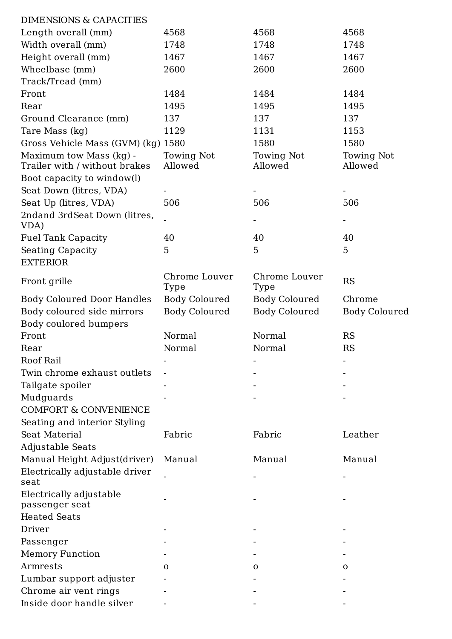| <b>DIMENSIONS &amp; CAPACITIES</b>                       |                       |                       |                              |
|----------------------------------------------------------|-----------------------|-----------------------|------------------------------|
| Length overall (mm)                                      | 4568                  | 4568                  | 4568                         |
| Width overall (mm)                                       | 1748                  | 1748                  | 1748                         |
| Height overall (mm)                                      | 1467                  | 1467                  | 1467                         |
| Wheelbase (mm)                                           | 2600                  | 2600                  | 2600                         |
| Track/Tread (mm)                                         |                       |                       |                              |
| Front                                                    | 1484                  | 1484                  | 1484                         |
| Rear                                                     | 1495                  | 1495                  | 1495                         |
| Ground Clearance (mm)                                    | 137                   | 137                   | 137                          |
| Tare Mass (kg)                                           | 1129                  | 1131                  | 1153                         |
| Gross Vehicle Mass (GVM) (kg) 1580                       |                       | 1580                  | 1580                         |
| Maximum tow Mass (kg) -<br>Trailer with / without brakes | Towing Not<br>Allowed | Towing Not<br>Allowed | <b>Towing Not</b><br>Allowed |
| Boot capacity to window(l)                               |                       |                       |                              |
| Seat Down (litres, VDA)                                  |                       |                       |                              |
| Seat Up (litres, VDA)                                    | 506                   | 506                   | 506                          |
| 2ndand 3rdSeat Down (litres,<br>VDA)                     |                       |                       |                              |
| <b>Fuel Tank Capacity</b>                                | 40                    | 40                    | 40                           |
| <b>Seating Capacity</b><br><b>EXTERIOR</b>               | 5                     | 5                     | 5                            |
| Front grille                                             | Chrome Louver<br>Type | Chrome Louver<br>Type | <b>RS</b>                    |
| <b>Body Coloured Door Handles</b>                        | Body Coloured         | Body Coloured         | Chrome                       |
| Body coloured side mirrors                               | <b>Body Coloured</b>  | <b>Body Coloured</b>  | <b>Body Coloured</b>         |
| Body coulored bumpers                                    |                       |                       |                              |
| Front                                                    | Normal                | Normal                | <b>RS</b>                    |
| Rear                                                     | Normal                | Normal                | <b>RS</b>                    |
| <b>Roof Rail</b>                                         |                       |                       |                              |
| Twin chrome exhaust outlets                              |                       |                       |                              |
| Tailgate spoiler                                         |                       |                       |                              |
| Mudguards                                                |                       |                       |                              |
| <b>COMFORT &amp; CONVENIENCE</b>                         |                       |                       |                              |
| Seating and interior Styling                             |                       |                       |                              |
| <b>Seat Material</b>                                     | Fabric                | Fabric                | Leather                      |
| Adjustable Seats                                         |                       |                       |                              |
| Manual Height Adjust(driver)                             | Manual                | Manual                | Manual                       |
| Electrically adjustable driver                           |                       |                       |                              |
|                                                          |                       |                       |                              |

Electrically adjustable passenger seat Heated Seats Driver - - - Passenger -Memory Function Function Function Function Function Function Function Function Function Function Function Function  $\mathcal{L}$ Armrests o o o Lumbar support adjuster - - - Chrome air vent rings -Inside door handle silver -

seat

- - -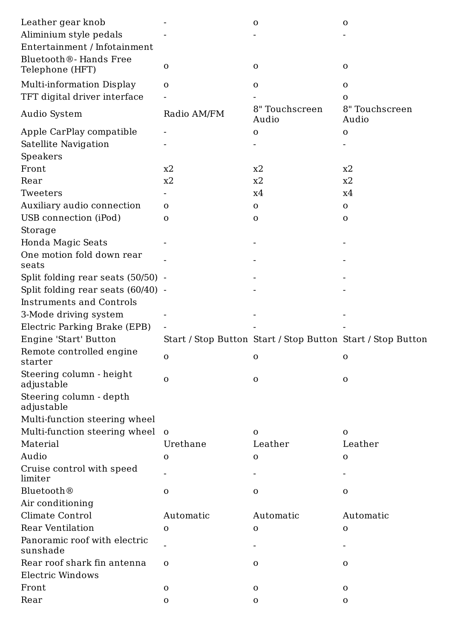| Leather gear knob                        |              | $\mathbf 0$                                                 | $\mathbf 0$             |
|------------------------------------------|--------------|-------------------------------------------------------------|-------------------------|
| Aliminium style pedals                   |              |                                                             |                         |
| Entertainment / Infotainment             |              |                                                             |                         |
| Bluetooth <sup>®</sup> - Hands Free      |              |                                                             |                         |
| Telephone (HFT)                          | $\mathbf{O}$ | $\mathbf{O}$                                                | $\mathbf 0$             |
| <b>Multi-information Display</b>         | $\mathbf{O}$ | $\mathbf{O}$                                                | $\mathbf 0$             |
| TFT digital driver interface             |              |                                                             | $\mathbf{O}$            |
| Audio System                             | Radio AM/FM  | 8" Touchscreen<br>Audio                                     | 8" Touchscreen<br>Audio |
| Apple CarPlay compatible                 |              | $\mathbf{O}$                                                | $\mathbf 0$             |
| Satellite Navigation                     |              |                                                             |                         |
| Speakers                                 |              |                                                             |                         |
| Front                                    | x2           | x2                                                          | x2                      |
| Rear                                     | x2           | x2                                                          | x2                      |
| Tweeters                                 |              | x4                                                          | x4                      |
| Auxiliary audio connection               | $\mathbf{O}$ | $\mathbf{O}$                                                | $\mathbf 0$             |
| USB connection (iPod)                    | $\mathbf{O}$ | $\mathbf 0$                                                 | $\mathbf 0$             |
| Storage                                  |              |                                                             |                         |
| Honda Magic Seats                        |              |                                                             |                         |
| One motion fold down rear                |              |                                                             |                         |
| seats                                    |              |                                                             |                         |
| Split folding rear seats $(50/50)$ -     |              |                                                             |                         |
| Split folding rear seats $(60/40)$ -     |              |                                                             |                         |
| <b>Instruments and Controls</b>          |              |                                                             |                         |
| 3-Mode driving system                    |              |                                                             |                         |
| Electric Parking Brake (EPB)             |              |                                                             |                         |
| Engine 'Start' Button                    |              | Start / Stop Button Start / Stop Button Start / Stop Button |                         |
| Remote controlled engine<br>starter      | $\mathbf{O}$ | $\mathbf 0$                                                 | $\mathbf 0$             |
| Steering column - height<br>adjustable   | $\mathbf{O}$ | $\mathbf 0$                                                 | $\mathbf 0$             |
| Steering column - depth<br>adjustable    |              |                                                             |                         |
| Multi-function steering wheel            |              |                                                             |                         |
| Multi-function steering wheel o          |              | $\mathbf{O}$                                                | $\mathbf 0$             |
| Material                                 | Urethane     | Leather                                                     | Leather                 |
| Audio                                    | $\mathbf{O}$ | $\mathbf 0$                                                 | $\mathbf 0$             |
| Cruise control with speed<br>limiter     |              |                                                             |                         |
| Bluetooth <sup>®</sup>                   | $\mathbf{O}$ | $\mathbf 0$                                                 | $\mathbf 0$             |
| Air conditioning                         |              |                                                             |                         |
| Climate Control                          | Automatic    | Automatic                                                   | Automatic               |
| <b>Rear Ventilation</b>                  | $\mathbf{O}$ | $\mathbf 0$                                                 | $\mathbf 0$             |
| Panoramic roof with electric<br>sunshade |              |                                                             |                         |
| Rear roof shark fin antenna              | $\mathbf{O}$ | $\mathbf 0$                                                 | $\mathbf 0$             |
| <b>Electric Windows</b>                  |              |                                                             |                         |
| Front                                    | $\mathbf 0$  | $\mathbf 0$                                                 | $\mathbf{O}$            |
| Rear                                     | $\mathbf O$  | $\mathbf{O}$                                                | $\mathbf{O}$            |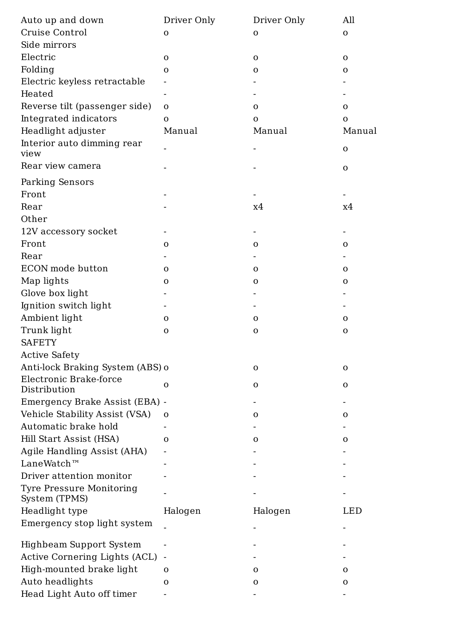| Auto up and down                       | Driver Only  | Driver Only  | All          |
|----------------------------------------|--------------|--------------|--------------|
| Cruise Control                         | $\mathbf 0$  | $\mathbf{O}$ | $\mathbf{O}$ |
| Side mirrors                           |              |              |              |
| Electric                               | $\mathbf 0$  | $\mathbf 0$  | $\mathbf 0$  |
| Folding                                | $\mathbf 0$  | $\mathbf 0$  | $\mathbf O$  |
| Electric keyless retractable           |              |              |              |
| Heated                                 |              |              |              |
| Reverse tilt (passenger side)          | $\mathbf{O}$ | $\mathbf{O}$ | $\mathbf 0$  |
| Integrated indicators                  | $\mathbf{O}$ | $\Omega$     | $\mathbf{O}$ |
| Headlight adjuster                     | Manual       | Manual       | Manual       |
| Interior auto dimming rear<br>view     |              |              | $\mathbf O$  |
| Rear view camera                       |              |              | $\mathbf 0$  |
| Parking Sensors                        |              |              |              |
| Front                                  |              |              |              |
| Rear                                   |              | х4           | x4           |
| Other                                  |              |              |              |
| 12V accessory socket                   |              |              |              |
| Front                                  | $\mathbf{O}$ | O            | O            |
| Rear                                   |              |              |              |
| ECON mode button                       | $\mathbf{O}$ | $\mathbf O$  | $\mathbf{O}$ |
| Map lights                             | $\mathbf O$  | $\mathbf{O}$ | $\mathbf O$  |
| Glove box light                        |              |              |              |
| Ignition switch light                  |              |              |              |
| Ambient light                          | $\mathbf 0$  | $\mathbf{O}$ | $\mathbf 0$  |
| Trunk light<br><b>SAFETY</b>           | $\mathbf 0$  | $\mathbf{O}$ | $\mathbf O$  |
| <b>Active Safety</b>                   |              |              |              |
| Anti-lock Braking System (ABS) o       |              | $\mathbf 0$  | $\mathbf O$  |
| Electronic Brake-force<br>Distribution | $\mathbf O$  | $\mathbf{O}$ | $\mathbf O$  |
| Emergency Brake Assist (EBA) -         |              |              |              |
| Vehicle Stability Assist (VSA)         | $\mathbf{O}$ | $\mathbf 0$  | $\mathbf 0$  |
| Automatic brake hold                   |              |              |              |
| Hill Start Assist (HSA)                | $\mathbf{O}$ | $\mathbf{O}$ | $\mathbf O$  |
| Agile Handling Assist (AHA)            |              |              |              |
| LaneWatch™                             |              |              |              |
| Driver attention monitor               |              |              |              |

Highbeam Support System - - - Active Cornering Lights (ACL) - The settlement of the settlement of the settlement of the settlement of the settlement of the settlement of the settlement of the settlement of the settlement of the settlement of the settle High-mounted brake light o o o Auto headlights o o o o o Head Light Auto off timer -

Tyre Pressure Monitoring System (TPMS) - - - Headlight type Halogen Halogen LED Emergency stop light system - - -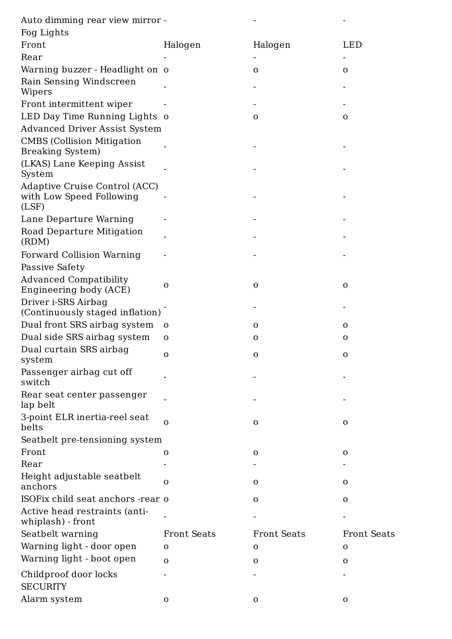| Auto dimming rear view mirror - |  |  |
|---------------------------------|--|--|
|                                 |  |  |

| Fog Lights |  |
|------------|--|
|            |  |

| $109 - 19100$                                                      |                    |                    |                    |
|--------------------------------------------------------------------|--------------------|--------------------|--------------------|
| Front                                                              | Halogen            | Halogen            | LED                |
| Rear                                                               |                    |                    |                    |
| Warning buzzer - Headlight on o                                    |                    | $\mathbf 0$        | $\mathbf 0$        |
| Rain Sensing Windscreen                                            |                    |                    |                    |
| Wipers                                                             |                    |                    |                    |
| Front intermittent wiper                                           |                    |                    |                    |
| LED Day Time Running Lights o                                      |                    | $\mathbf{O}$       | $\mathbf 0$        |
| <b>Advanced Driver Assist System</b>                               |                    |                    |                    |
| <b>CMBS</b> (Collision Mitigation<br><b>Breaking System</b> )      |                    |                    |                    |
| (LKAS) Lane Keeping Assist<br>System                               |                    |                    |                    |
| Adaptive Cruise Control (ACC)<br>with Low Speed Following<br>(LSF) |                    |                    |                    |
| Lane Departure Warning                                             |                    |                    |                    |
| Road Departure Mitigation<br>(RDM)                                 |                    |                    |                    |
| Forward Collision Warning                                          |                    |                    |                    |
| Passive Safety                                                     |                    |                    |                    |
| <b>Advanced Compatibility</b>                                      |                    |                    |                    |
| Engineering body (ACE)                                             | $\Omega$           | $\mathbf 0$        | $\mathbf O$        |
| Driver i-SRS Airbag<br>(Continuously staged inflation)             |                    |                    |                    |
| Dual front SRS airbag system                                       | $\mathbf 0$        | $\mathbf{O}$       | $\mathbf 0$        |
| Dual side SRS airbag system                                        | $\mathbf{O}$       | $\mathbf{O}$       | $\mathbf 0$        |
| Dual curtain SRS airbag<br>system                                  | $\mathbf{O}$       | $\mathbf 0$        | $\mathbf 0$        |
| Passenger airbag cut off<br>switch                                 |                    |                    |                    |
| Rear seat center passenger<br>lap belt                             |                    |                    |                    |
| 3-point ELR inertia-reel seat<br>belts                             | O                  | $\mathbf{O}$       | $\mathbf 0$        |
| Seatbelt pre-tensioning system                                     |                    |                    |                    |
| Front                                                              | $\Omega$           | $\mathbf{O}$       | $\mathbf O$        |
| Rear                                                               |                    |                    |                    |
| Height adjustable seatbelt<br>anchors                              | O                  | $\mathbf{O}$       | $\mathbf 0$        |
| ISOF ix child seat anchors - rear o                                |                    | $\mathbf{O}$       | $\mathbf O$        |
|                                                                    |                    |                    |                    |
| Active head restraints (anti-<br>whiplash) - front                 |                    |                    |                    |
| Seatbelt warning                                                   | <b>Front Seats</b> | <b>Front Seats</b> | <b>Front Seats</b> |
| Warning light - door open                                          | $\mathbf 0$        | $\mathbf 0$        | $\mathbf 0$        |
| Warning light - boot open                                          | $\mathbf{O}$       | $\mathbf 0$        | $\mathbf 0$        |
| Childproof door locks                                              |                    |                    |                    |
| <b>SECURITY</b>                                                    |                    |                    |                    |
| Alarm system                                                       | $\mathbf{O}$       | $\mathbf{O}$       | $\mathbf 0$        |
|                                                                    |                    |                    |                    |